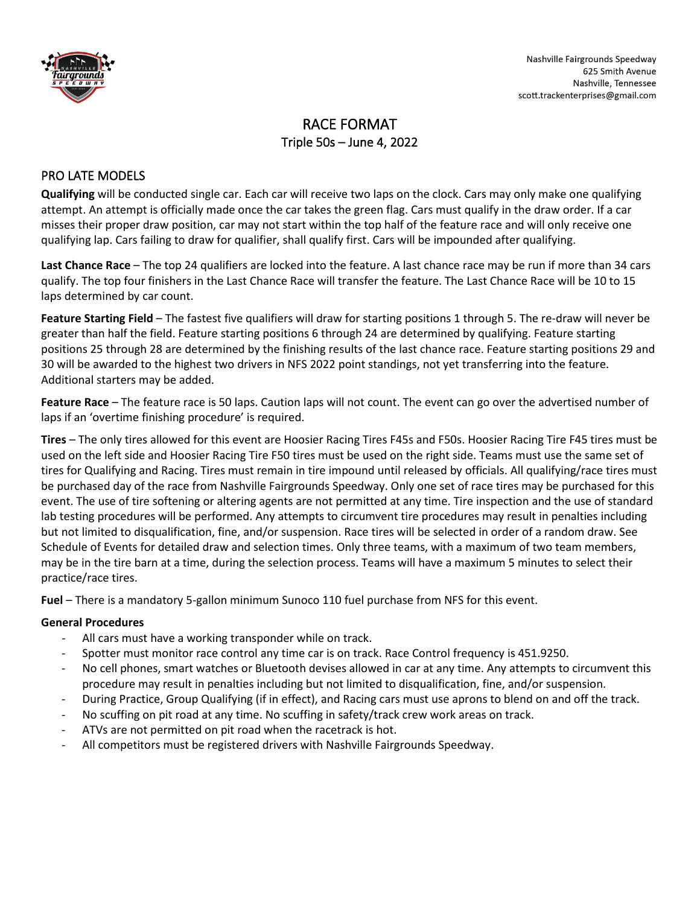

# RACE FORMAT Triple 50s – June 4, 2022

## PRO LATE MODELS

**Qualifying** will be conducted single car. Each car will receive two laps on the clock. Cars may only make one qualifying attempt. An attempt is officially made once the car takes the green flag. Cars must qualify in the draw order. If a car misses their proper draw position, car may not start within the top half of the feature race and will only receive one qualifying lap. Cars failing to draw for qualifier, shall qualify first. Cars will be impounded after qualifying.

**Last Chance Race** – The top 24 qualifiers are locked into the feature. A last chance race may be run if more than 34 cars qualify. The top four finishers in the Last Chance Race will transfer the feature. The Last Chance Race will be 10 to 15 laps determined by car count.

**Feature Starting Field** – The fastest five qualifiers will draw for starting positions 1 through 5. The re-draw will never be greater than half the field. Feature starting positions 6 through 24 are determined by qualifying. Feature starting positions 25 through 28 are determined by the finishing results of the last chance race. Feature starting positions 29 and 30 will be awarded to the highest two drivers in NFS 2022 point standings, not yet transferring into the feature. Additional starters may be added.

**Feature Race** – The feature race is 50 laps. Caution laps will not count. The event can go over the advertised number of laps if an 'overtime finishing procedure' is required.

**Tires** – The only tires allowed for this event are Hoosier Racing Tires F45s and F50s. Hoosier Racing Tire F45 tires must be used on the left side and Hoosier Racing Tire F50 tires must be used on the right side. Teams must use the same set of tires for Qualifying and Racing. Tires must remain in tire impound until released by officials. All qualifying/race tires must be purchased day of the race from Nashville Fairgrounds Speedway. Only one set of race tires may be purchased for this event. The use of tire softening or altering agents are not permitted at any time. Tire inspection and the use of standard lab testing procedures will be performed. Any attempts to circumvent tire procedures may result in penalties including but not limited to disqualification, fine, and/or suspension. Race tires will be selected in order of a random draw. See Schedule of Events for detailed draw and selection times. Only three teams, with a maximum of two team members, may be in the tire barn at a time, during the selection process. Teams will have a maximum 5 minutes to select their practice/race tires.

**Fuel** – There is a mandatory 5-gallon minimum Sunoco 110 fuel purchase from NFS for this event.

#### **General Procedures**

- All cars must have a working transponder while on track.
- Spotter must monitor race control any time car is on track. Race Control frequency is 451.9250.
- No cell phones, smart watches or Bluetooth devises allowed in car at any time. Any attempts to circumvent this procedure may result in penalties including but not limited to disqualification, fine, and/or suspension.
- During Practice, Group Qualifying (if in effect), and Racing cars must use aprons to blend on and off the track.
- No scuffing on pit road at any time. No scuffing in safety/track crew work areas on track.
- ATVs are not permitted on pit road when the racetrack is hot.
- All competitors must be registered drivers with Nashville Fairgrounds Speedway.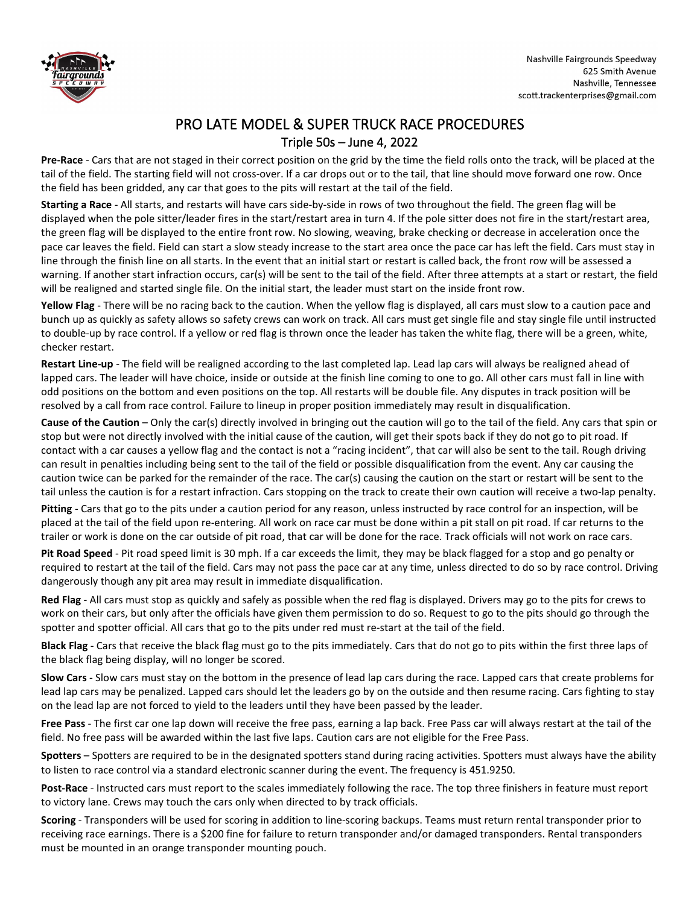

# PRO LATE MODEL & SUPER TRUCK RACE PROCEDURES Triple 50s – June 4, 2022

**Pre-Race** - Cars that are not staged in their correct position on the grid by the time the field rolls onto the track, will be placed at the tail of the field. The starting field will not cross-over. If a car drops out or to the tail, that line should move forward one row. Once the field has been gridded, any car that goes to the pits will restart at the tail of the field.

**Starting a Race** - All starts, and restarts will have cars side-by-side in rows of two throughout the field. The green flag will be displayed when the pole sitter/leader fires in the start/restart area in turn 4. If the pole sitter does not fire in the start/restart area, the green flag will be displayed to the entire front row. No slowing, weaving, brake checking or decrease in acceleration once the pace car leaves the field. Field can start a slow steady increase to the start area once the pace car has left the field. Cars must stay in line through the finish line on all starts. In the event that an initial start or restart is called back, the front row will be assessed a warning. If another start infraction occurs, car(s) will be sent to the tail of the field. After three attempts at a start or restart, the field will be realigned and started single file. On the initial start, the leader must start on the inside front row.

**Yellow Flag** - There will be no racing back to the caution. When the yellow flag is displayed, all cars must slow to a caution pace and bunch up as quickly as safety allows so safety crews can work on track. All cars must get single file and stay single file until instructed to double-up by race control. If a yellow or red flag is thrown once the leader has taken the white flag, there will be a green, white, checker restart.

**Restart Line-up** - The field will be realigned according to the last completed lap. Lead lap cars will always be realigned ahead of lapped cars. The leader will have choice, inside or outside at the finish line coming to one to go. All other cars must fall in line with odd positions on the bottom and even positions on the top. All restarts will be double file. Any disputes in track position will be resolved by a call from race control. Failure to lineup in proper position immediately may result in disqualification.

**Cause of the Caution** – Only the car(s) directly involved in bringing out the caution will go to the tail of the field. Any cars that spin or stop but were not directly involved with the initial cause of the caution, will get their spots back if they do not go to pit road. If contact with a car causes a yellow flag and the contact is not a "racing incident", that car will also be sent to the tail. Rough driving can result in penalties including being sent to the tail of the field or possible disqualification from the event. Any car causing the caution twice can be parked for the remainder of the race. The car(s) causing the caution on the start or restart will be sent to the tail unless the caution is for a restart infraction. Cars stopping on the track to create their own caution will receive a two-lap penalty.

**Pitting** - Cars that go to the pits under a caution period for any reason, unless instructed by race control for an inspection, will be placed at the tail of the field upon re-entering. All work on race car must be done within a pit stall on pit road. If car returns to the trailer or work is done on the car outside of pit road, that car will be done for the race. Track officials will not work on race cars.

**Pit Road Speed** - Pit road speed limit is 30 mph. If a car exceeds the limit, they may be black flagged for a stop and go penalty or required to restart at the tail of the field. Cars may not pass the pace car at any time, unless directed to do so by race control. Driving dangerously though any pit area may result in immediate disqualification.

**Red Flag** - All cars must stop as quickly and safely as possible when the red flag is displayed. Drivers may go to the pits for crews to work on their cars, but only after the officials have given them permission to do so. Request to go to the pits should go through the spotter and spotter official. All cars that go to the pits under red must re-start at the tail of the field.

**Black Flag** - Cars that receive the black flag must go to the pits immediately. Cars that do not go to pits within the first three laps of the black flag being display, will no longer be scored.

**Slow Cars** - Slow cars must stay on the bottom in the presence of lead lap cars during the race. Lapped cars that create problems for lead lap cars may be penalized. Lapped cars should let the leaders go by on the outside and then resume racing. Cars fighting to stay on the lead lap are not forced to yield to the leaders until they have been passed by the leader.

**Free Pass** - The first car one lap down will receive the free pass, earning a lap back. Free Pass car will always restart at the tail of the field. No free pass will be awarded within the last five laps. Caution cars are not eligible for the Free Pass.

**Spotters** – Spotters are required to be in the designated spotters stand during racing activities. Spotters must always have the ability to listen to race control via a standard electronic scanner during the event. The frequency is 451.9250.

**Post-Race** - Instructed cars must report to the scales immediately following the race. The top three finishers in feature must report to victory lane. Crews may touch the cars only when directed to by track officials.

**Scoring** - Transponders will be used for scoring in addition to line-scoring backups. Teams must return rental transponder prior to receiving race earnings. There is a \$200 fine for failure to return transponder and/or damaged transponders. Rental transponders must be mounted in an orange transponder mounting pouch.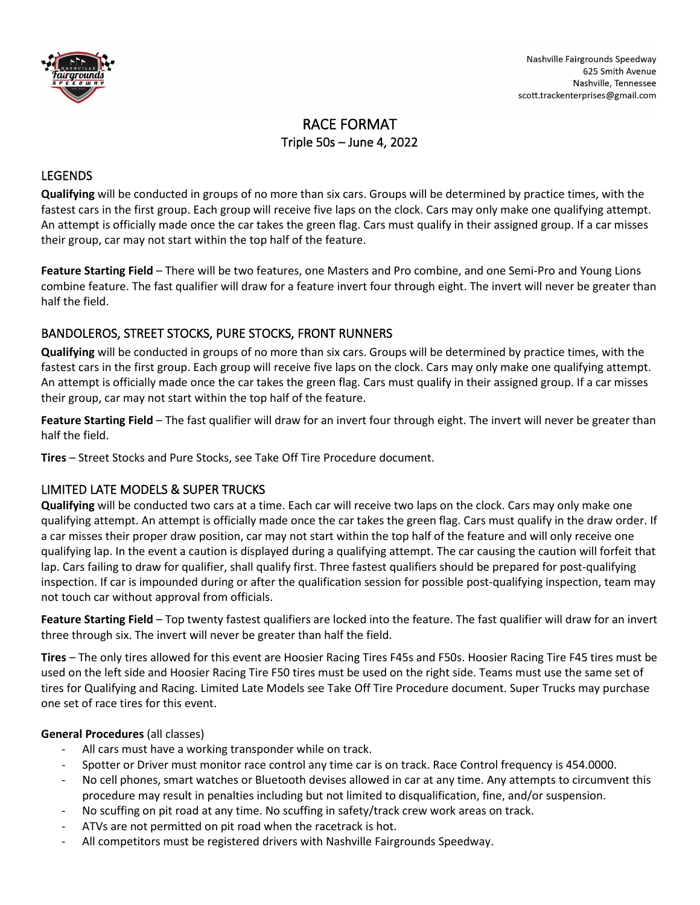

# RACE FORMAT Triple 50s – June 4, 2022

## LEGENDS

**Qualifying** will be conducted in groups of no more than six cars. Groups will be determined by practice times, with the fastest cars in the first group. Each group will receive five laps on the clock. Cars may only make one qualifying attempt. An attempt is officially made once the car takes the green flag. Cars must qualify in their assigned group. If a car misses their group, car may not start within the top half of the feature.

**Feature Starting Field** – There will be two features, one Masters and Pro combine, and one Semi-Pro and Young Lions combine feature. The fast qualifier will draw for a feature invert four through eight. The invert will never be greater than half the field.

# BANDOLEROS, STREET STOCKS, PURE STOCKS, FRONT RUNNERS

**Qualifying** will be conducted in groups of no more than six cars. Groups will be determined by practice times, with the fastest cars in the first group. Each group will receive five laps on the clock. Cars may only make one qualifying attempt. An attempt is officially made once the car takes the green flag. Cars must qualify in their assigned group. If a car misses their group, car may not start within the top half of the feature.

Feature Starting Field – The fast qualifier will draw for an invert four through eight. The invert will never be greater than half the field.

**Tires** – Street Stocks and Pure Stocks, see Take Off Tire Procedure document.

#### LIMITED LATE MODELS & SUPER TRUCKS

**Qualifying** will be conducted two cars at a time. Each car will receive two laps on the clock. Cars may only make one qualifying attempt. An attempt is officially made once the car takes the green flag. Cars must qualify in the draw order. If a car misses their proper draw position, car may not start within the top half of the feature and will only receive one qualifying lap. In the event a caution is displayed during a qualifying attempt. The car causing the caution will forfeit that lap. Cars failing to draw for qualifier, shall qualify first. Three fastest qualifiers should be prepared for post-qualifying inspection. If car is impounded during or after the qualification session for possible post-qualifying inspection, team may not touch car without approval from officials.

Feature Starting Field – Top twenty fastest qualifiers are locked into the feature. The fast qualifier will draw for an invert three through six. The invert will never be greater than half the field.

**Tires** – The only tires allowed for this event are Hoosier Racing Tires F45s and F50s. Hoosier Racing Tire F45 tires must be used on the left side and Hoosier Racing Tire F50 tires must be used on the right side. Teams must use the same set of tires for Qualifying and Racing. Limited Late Models see Take Off Tire Procedure document. Super Trucks may purchase one set of race tires for this event.

#### **General Procedures** (all classes)

- All cars must have a working transponder while on track.
- Spotter or Driver must monitor race control any time car is on track. Race Control frequency is 454.0000.
- No cell phones, smart watches or Bluetooth devises allowed in car at any time. Any attempts to circumvent this procedure may result in penalties including but not limited to disqualification, fine, and/or suspension.
- No scuffing on pit road at any time. No scuffing in safety/track crew work areas on track.
- ATVs are not permitted on pit road when the racetrack is hot.
- All competitors must be registered drivers with Nashville Fairgrounds Speedway.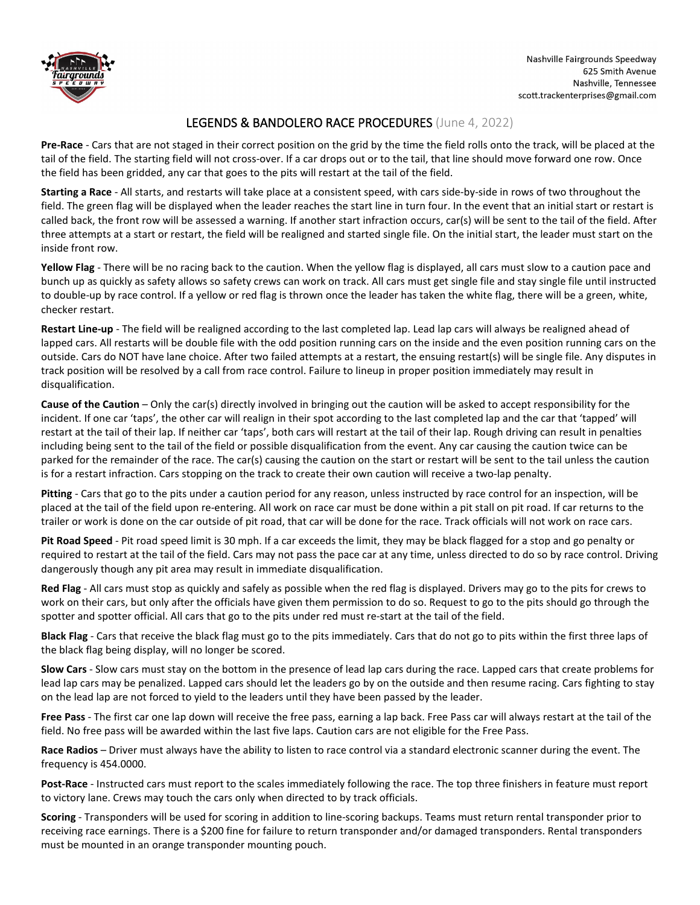

### LEGENDS & BANDOLERO RACE PROCEDURES (June 4, 2022)

**Pre-Race** - Cars that are not staged in their correct position on the grid by the time the field rolls onto the track, will be placed at the tail of the field. The starting field will not cross-over. If a car drops out or to the tail, that line should move forward one row. Once the field has been gridded, any car that goes to the pits will restart at the tail of the field.

**Starting a Race** - All starts, and restarts will take place at a consistent speed, with cars side-by-side in rows of two throughout the field. The green flag will be displayed when the leader reaches the start line in turn four. In the event that an initial start or restart is called back, the front row will be assessed a warning. If another start infraction occurs, car(s) will be sent to the tail of the field. After three attempts at a start or restart, the field will be realigned and started single file. On the initial start, the leader must start on the inside front row.

**Yellow Flag** - There will be no racing back to the caution. When the yellow flag is displayed, all cars must slow to a caution pace and bunch up as quickly as safety allows so safety crews can work on track. All cars must get single file and stay single file until instructed to double-up by race control. If a yellow or red flag is thrown once the leader has taken the white flag, there will be a green, white, checker restart.

**Restart Line-up** - The field will be realigned according to the last completed lap. Lead lap cars will always be realigned ahead of lapped cars. All restarts will be double file with the odd position running cars on the inside and the even position running cars on the outside. Cars do NOT have lane choice. After two failed attempts at a restart, the ensuing restart(s) will be single file. Any disputes in track position will be resolved by a call from race control. Failure to lineup in proper position immediately may result in disqualification.

**Cause of the Caution** – Only the car(s) directly involved in bringing out the caution will be asked to accept responsibility for the incident. If one car 'taps', the other car will realign in their spot according to the last completed lap and the car that 'tapped' will restart at the tail of their lap. If neither car 'taps', both cars will restart at the tail of their lap. Rough driving can result in penalties including being sent to the tail of the field or possible disqualification from the event. Any car causing the caution twice can be parked for the remainder of the race. The car(s) causing the caution on the start or restart will be sent to the tail unless the caution is for a restart infraction. Cars stopping on the track to create their own caution will receive a two-lap penalty.

**Pitting** - Cars that go to the pits under a caution period for any reason, unless instructed by race control for an inspection, will be placed at the tail of the field upon re-entering. All work on race car must be done within a pit stall on pit road. If car returns to the trailer or work is done on the car outside of pit road, that car will be done for the race. Track officials will not work on race cars.

**Pit Road Speed** - Pit road speed limit is 30 mph. If a car exceeds the limit, they may be black flagged for a stop and go penalty or required to restart at the tail of the field. Cars may not pass the pace car at any time, unless directed to do so by race control. Driving dangerously though any pit area may result in immediate disqualification.

**Red Flag** - All cars must stop as quickly and safely as possible when the red flag is displayed. Drivers may go to the pits for crews to work on their cars, but only after the officials have given them permission to do so. Request to go to the pits should go through the spotter and spotter official. All cars that go to the pits under red must re-start at the tail of the field.

**Black Flag** - Cars that receive the black flag must go to the pits immediately. Cars that do not go to pits within the first three laps of the black flag being display, will no longer be scored.

**Slow Cars** - Slow cars must stay on the bottom in the presence of lead lap cars during the race. Lapped cars that create problems for lead lap cars may be penalized. Lapped cars should let the leaders go by on the outside and then resume racing. Cars fighting to stay on the lead lap are not forced to yield to the leaders until they have been passed by the leader.

**Free Pass** - The first car one lap down will receive the free pass, earning a lap back. Free Pass car will always restart at the tail of the field. No free pass will be awarded within the last five laps. Caution cars are not eligible for the Free Pass.

**Race Radios** – Driver must always have the ability to listen to race control via a standard electronic scanner during the event. The frequency is 454.0000.

**Post-Race** - Instructed cars must report to the scales immediately following the race. The top three finishers in feature must report to victory lane. Crews may touch the cars only when directed to by track officials.

**Scoring** - Transponders will be used for scoring in addition to line-scoring backups. Teams must return rental transponder prior to receiving race earnings. There is a \$200 fine for failure to return transponder and/or damaged transponders. Rental transponders must be mounted in an orange transponder mounting pouch.